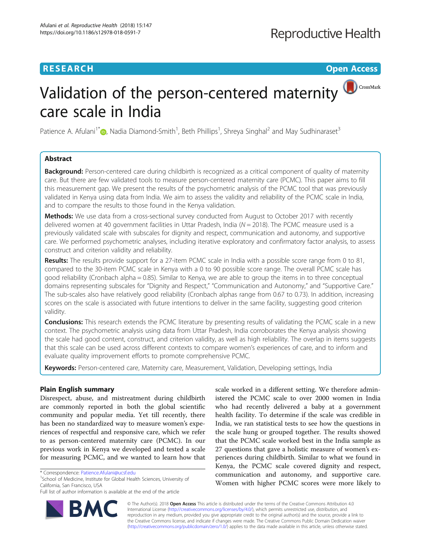## **RESEARCH CHEAR CHEAR CHEAR CHEAR CHEAR CHEAR CHEAR CHEAR CHEAR CHEAR CHEAR CHEAR CHEAR CHEAR CHEAR CHEAR CHEAR**

CrossMark

# Validation of the person-centered maternity care scale in India

Patience A. Afulani<sup>1\*</sup> (**p**[,](http://orcid.org/0000-0002-6739-234X) Nadia Diamond-Smith<sup>1</sup>, Beth Phillips<sup>1</sup>, Shreya Singhal<sup>2</sup> and May Sudhinaraset<sup>3</sup>

## Abstract

**Background:** Person-centered care during childbirth is recognized as a critical component of quality of maternity care. But there are few validated tools to measure person-centered maternity care (PCMC). This paper aims to fill this measurement gap. We present the results of the psychometric analysis of the PCMC tool that was previously validated in Kenya using data from India. We aim to assess the validity and reliability of the PCMC scale in India, and to compare the results to those found in the Kenya validation.

Methods: We use data from a cross-sectional survey conducted from August to October 2017 with recently delivered women at 40 government facilities in Uttar Pradesh, India ( $N = 2018$ ). The PCMC measure used is a previously validated scale with subscales for dignity and respect, communication and autonomy, and supportive care. We performed psychometric analyses, including iterative exploratory and confirmatory factor analysis, to assess construct and criterion validity and reliability.

Results: The results provide support for a 27-item PCMC scale in India with a possible score range from 0 to 81, compared to the 30-item PCMC scale in Kenya with a 0 to 90 possible score range. The overall PCMC scale has good reliability (Cronbach alpha = 0.85). Similar to Kenya, we are able to group the items in to three conceptual domains representing subscales for "Dignity and Respect," "Communication and Autonomy," and "Supportive Care." The sub-scales also have relatively good reliability (Cronbach alphas range from 0.67 to 0.73). In addition, increasing scores on the scale is associated with future intentions to deliver in the same facility, suggesting good criterion validity.

**Conclusions:** This research extends the PCMC literature by presenting results of validating the PCMC scale in a new context. The psychometric analysis using data from Uttar Pradesh, India corroborates the Kenya analysis showing the scale had good content, construct, and criterion validity, as well as high reliability. The overlap in items suggests that this scale can be used across different contexts to compare women's experiences of care, and to inform and evaluate quality improvement efforts to promote comprehensive PCMC.

Keywords: Person-centered care, Maternity care, Measurement, Validation, Developing settings, India

## Plain English summary

Disrespect, abuse, and mistreatment during childbirth are commonly reported in both the global scientific community and popular media. Yet till recently, there has been no standardized way to measure women's experiences of respectful and responsive care, which we refer to as person-centered maternity care (PCMC). In our previous work in Kenya we developed and tested a scale for measuring PCMC, and we wanted to learn how that

<sup>1</sup>School of Medicine, Institute for Global Health Sciences, University of California, San Francisco, USA

Full list of author information is available at the end of the article



scale worked in a different setting. We therefore administered the PCMC scale to over 2000 women in India who had recently delivered a baby at a government health facility. To determine if the scale was credible in India, we ran statistical tests to see how the questions in the scale hung or grouped together. The results showed that the PCMC scale worked best in the India sample as 27 questions that gave a holistic measure of women's experiences during childbirth. Similar to what we found in Kenya, the PCMC scale covered dignity and respect, communication and autonomy, and supportive care. Women with higher PCMC scores were more likely to

© The Author(s). 2018 Open Access This article is distributed under the terms of the Creative Commons Attribution 4.0 International License [\(http://creativecommons.org/licenses/by/4.0/](http://creativecommons.org/licenses/by/4.0/)), which permits unrestricted use, distribution, and reproduction in any medium, provided you give appropriate credit to the original author(s) and the source, provide a link to the Creative Commons license, and indicate if changes were made. The Creative Commons Public Domain Dedication waiver [\(http://creativecommons.org/publicdomain/zero/1.0/](http://creativecommons.org/publicdomain/zero/1.0/)) applies to the data made available in this article, unless otherwise stated.

<sup>\*</sup> Correspondence: [Patience.Afulani@ucsf.edu](mailto:Patience.Afulani@ucsf.edu) <sup>1</sup>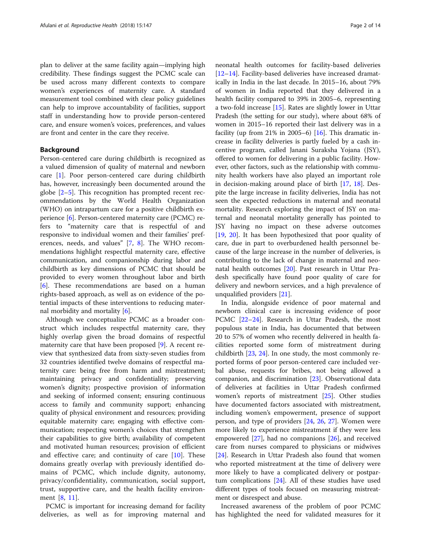plan to deliver at the same facility again—implying high credibility. These findings suggest the PCMC scale can be used across many different contexts to compare women's experiences of maternity care. A standard measurement tool combined with clear policy guidelines can help to improve accountability of facilities, support staff in understanding how to provide person-centered care, and ensure women's voices, preferences, and values are front and center in the care they receive.

#### Background

Person-centered care during childbirth is recognized as a valued dimension of quality of maternal and newborn care [\[1](#page-12-0)]. Poor person-centered care during childbirth has, however, increasingly been documented around the globe [[2](#page-12-0)–[5](#page-12-0)]. This recognition has prompted recent recommendations by the World Health Organization (WHO) on intrapartum care for a positive childbirth experience [\[6](#page-12-0)]. Person-centered maternity care (PCMC) refers to "maternity care that is respectful of and responsive to individual women and their families' preferences, needs, and values" [\[7](#page-12-0), [8](#page-12-0)]. The WHO recommendations highlight respectful maternity care, effective communication, and companionship during labor and childbirth as key dimensions of PCMC that should be provided to every women throughout labor and birth [[6\]](#page-12-0). These recommendations are based on a human rights-based approach, as well as on evidence of the potential impacts of these interventions to reducing maternal morbidity and mortality [\[6](#page-12-0)].

Although we conceptualize PCMC as a broader construct which includes respectful maternity care, they highly overlap given the broad domains of respectful maternity care that have been proposed [[9\]](#page-12-0). A recent review that synthesized data from sixty-seven studies from 32 countries identified twelve domains of respectful maternity care: being free from harm and mistreatment; maintaining privacy and confidentiality; preserving women's dignity; prospective provision of information and seeking of informed consent; ensuring continuous access to family and community support; enhancing quality of physical environment and resources; providing equitable maternity care; engaging with effective communication; respecting women's choices that strengthen their capabilities to give birth; availability of competent and motivated human resources; provision of efficient and effective care; and continuity of care [[10\]](#page-12-0). These domains greatly overlap with previously identified domains of PCMC, which include dignity, autonomy, privacy/confidentiality, communication, social support, trust, supportive care, and the health facility environment [\[8](#page-12-0), [11\]](#page-12-0).

PCMC is important for increasing demand for facility deliveries, as well as for improving maternal and

neonatal health outcomes for facility-based deliveries [[12](#page-12-0)–[14](#page-12-0)]. Facility-based deliveries have increased dramatically in India in the last decade. In 2015–16, about 79% of women in India reported that they delivered in a health facility compared to 39% in 2005–6, representing a two-fold increase [\[15](#page-12-0)]. Rates are slightly lower in Uttar Pradesh (the setting for our study), where about 68% of women in 2015–16 reported their last delivery was in a facility (up from 21% in 2005–6)  $[16]$  $[16]$ . This dramatic increase in facility deliveries is partly fueled by a cash incentive program, called Janani Suraksha Yojana (JSY), offered to women for delivering in a public facility. However, other factors, such as the relationship with community health workers have also played an important role in decision-making around place of birth [[17](#page-12-0), [18](#page-12-0)]. Despite the large increase in facility deliveries, India has not seen the expected reductions in maternal and neonatal mortality. Research exploring the impact of JSY on maternal and neonatal mortality generally has pointed to JSY having no impact on these adverse outcomes [[19,](#page-13-0) [20](#page-13-0)]. It has been hypothesized that poor quality of care, due in part to overburdened health personnel because of the large increase in the number of deliveries, is contributing to the lack of change in maternal and neonatal health outcomes [[20\]](#page-13-0). Past research in Uttar Pradesh specifically have found poor quality of care for delivery and newborn services, and a high prevalence of unqualified providers [[21\]](#page-13-0).

In India, alongside evidence of poor maternal and newborn clinical care is increasing evidence of poor PCMC [\[22](#page-13-0)–[24\]](#page-13-0). Research in Uttar Pradesh, the most populous state in India, has documented that between 20 to 57% of women who recently delivered in health facilities reported some form of mistreatment during childbirth [[23,](#page-13-0) [24\]](#page-13-0). In one study, the most commonly reported forms of poor person-centered care included verbal abuse, requests for bribes, not being allowed a companion, and discrimination [\[23](#page-13-0)]. Observational data of deliveries at facilities in Uttar Pradesh confirmed women's reports of mistreatment [[25\]](#page-13-0). Other studies have documented factors associated with mistreatment, including women's empowerment, presence of support person, and type of providers [\[24](#page-13-0), [26,](#page-13-0) [27\]](#page-13-0). Women were more likely to experience mistreatment if they were less empowered [\[27\]](#page-13-0), had no companions [\[26](#page-13-0)], and received care from nurses compared to physicians or midwives [[24\]](#page-13-0). Research in Uttar Pradesh also found that women who reported mistreatment at the time of delivery were more likely to have a complicated delivery or postpartum complications [\[24](#page-13-0)]. All of these studies have used different types of tools focused on measuring mistreatment or disrespect and abuse.

Increased awareness of the problem of poor PCMC has highlighted the need for validated measures for it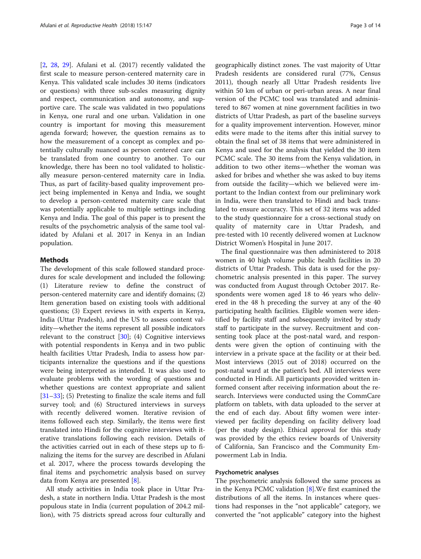[[2,](#page-12-0) [28](#page-13-0), [29](#page-13-0)]. Afulani et al. (2017) recently validated the first scale to measure person-centered maternity care in Kenya. This validated scale includes 30 items (indicators or questions) with three sub-scales measuring dignity and respect, communication and autonomy, and supportive care. The scale was validated in two populations in Kenya, one rural and one urban. Validation in one country is important for moving this measurement agenda forward; however, the question remains as to how the measurement of a concept as complex and potentially culturally nuanced as person centered care can be translated from one country to another. To our knowledge, there has been no tool validated to holistically measure person-centered maternity care in India. Thus, as part of facility-based quality improvement project being implemented in Kenya and India, we sought to develop a person-centered maternity care scale that was potentially applicable to multiple settings including Kenya and India. The goal of this paper is to present the results of the psychometric analysis of the same tool validated by Afulani et al. 2017 in Kenya in an Indian population.

## Methods

The development of this scale followed standard procedures for scale development and included the following: (1) Literature review to define the construct of person-centered maternity care and identify domains; (2) Item generation based on existing tools with additional questions; (3) Expert reviews in with experts in Kenya, India (Uttar Pradesh), and the US to assess content validity—whether the items represent all possible indicators relevant to the construct  $[30]$ ; (4) Cognitive interviews with potential respondents in Kenya and in two public health facilities Uttar Pradesh, India to assess how participants internalize the questions and if the questions were being interpreted as intended. It was also used to evaluate problems with the wording of questions and whether questions are context appropriate and salient [[31](#page-13-0)–[33](#page-13-0)]; (5) Pretesting to finalize the scale items and full survey tool; and (6) Structured interviews in surveys with recently delivered women. Iterative revision of items followed each step. Similarly, the items were first translated into Hindi for the cognitive interviews with iterative translations following each revision. Details of the activities carried out in each of these steps up to finalizing the items for the survey are described in Afulani et al. 2017, where the process towards developing the final items and psychometric analysis based on survey data from Kenya are presented [[8\]](#page-12-0).

All study activities in India took place in Uttar Pradesh, a state in northern India. Uttar Pradesh is the most populous state in India (current population of 204.2 million), with 75 districts spread across four culturally and geographically distinct zones. The vast majority of Uttar Pradesh residents are considered rural (77%, Census 2011), though nearly all Uttar Pradesh residents live within 50 km of urban or peri-urban areas. A near final version of the PCMC tool was translated and administered to 867 women at nine government facilities in two districts of Uttar Pradesh, as part of the baseline surveys for a quality improvement intervention. However, minor edits were made to the items after this initial survey to obtain the final set of 38 items that were administered in Kenya and used for the analysis that yielded the 30 item PCMC scale. The 30 items from the Kenya validation, in addition to two other items—whether the woman was asked for bribes and whether she was asked to buy items from outside the facility—which we believed were important to the Indian context from our preliminary work in India, were then translated to Hindi and back translated to ensure accuracy. This set of 32 items was added to the study questionnaire for a cross-sectional study on quality of maternity care in Uttar Pradesh, and pre-tested with 10 recently delivered women at Lucknow District Women's Hospital in June 2017.

The final questionnaire was then administered to 2018 women in 40 high volume public health facilities in 20 districts of Uttar Pradesh. This data is used for the psychometric analysis presented in this paper. The survey was conducted from August through October 2017. Respondents were women aged 18 to 46 years who delivered in the 48 h preceding the survey at any of the 40 participating health facilities. Eligible women were identified by facility staff and subsequently invited by study staff to participate in the survey. Recruitment and consenting took place at the post-natal ward, and respondents were given the option of continuing with the interview in a private space at the facility or at their bed. Most interviews (2015 out of 2018) occurred on the post-natal ward at the patient's bed. All interviews were conducted in Hindi. All participants provided written informed consent after receiving information about the research. Interviews were conducted using the CommCare platform on tablets, with data uploaded to the server at the end of each day. About fifty women were interviewed per facility depending on facility delivery load (per the study design). Ethical approval for this study was provided by the ethics review boards of University of California, San Francisco and the Community Empowerment Lab in India.

### Psychometric analyses

The psychometric analysis followed the same process as in the Kenya PCMC validation [[8\]](#page-12-0).We first examined the distributions of all the items. In instances where questions had responses in the "not applicable" category, we converted the "not applicable" category into the highest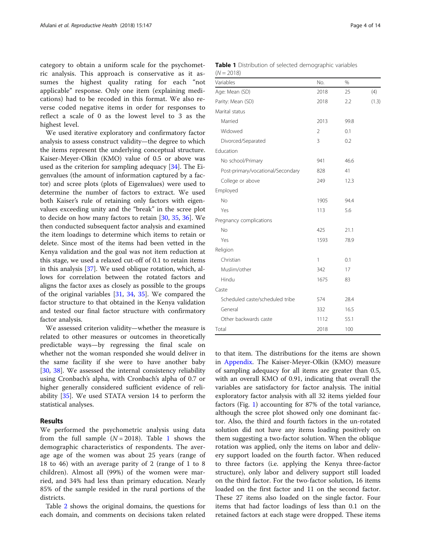category to obtain a uniform scale for the psychometric analysis. This approach is conservative as it assumes the highest quality rating for each "not applicable" response. Only one item (explaining medications) had to be recoded in this format. We also reverse coded negative items in order for responses to reflect a scale of 0 as the lowest level to 3 as the highest level.

We used iterative exploratory and confirmatory factor analysis to assess construct validity—the degree to which the items represent the underlying conceptual structure. Kaiser-Meyer-Olkin (KMO) value of 0.5 or above was used as the criterion for sampling adequacy [[34](#page-13-0)]. The Eigenvalues (the amount of information captured by a factor) and scree plots (plots of Eigenvalues) were used to determine the number of factors to extract. We used both Kaiser's rule of retaining only factors with eigenvalues exceeding unity and the "break" in the scree plot to decide on how many factors to retain [\[30,](#page-13-0) [35,](#page-13-0) [36\]](#page-13-0). We then conducted subsequent factor analysis and examined the item loadings to determine which items to retain or delete. Since most of the items had been vetted in the Kenya validation and the goal was not item reduction at this stage, we used a relaxed cut-off of 0.1 to retain items in this analysis [[37\]](#page-13-0). We used oblique rotation, which, allows for correlation between the rotated factors and aligns the factor axes as closely as possible to the groups of the original variables [\[31](#page-13-0), [34](#page-13-0), [35](#page-13-0)]. We compared the factor structure to that obtained in the Kenya validation and tested our final factor structure with confirmatory factor analysis.

We assessed criterion validity—whether the measure is related to other measures or outcomes in theoretically predictable ways—by regressing the final scale on whether not the woman responded she would deliver in the same facility if she were to have another baby [[30,](#page-13-0) [38](#page-13-0)]. We assessed the internal consistency reliability using Cronbach's alpha, with Cronbach's alpha of 0.7 or higher generally considered sufficient evidence of reliability [\[35](#page-13-0)]. We used STATA version 14 to perform the statistical analyses.

## Results

We performed the psychometric analysis using data from the full sample  $(N = 2018)$ . Table 1 shows the demographic characteristics of respondents. The average age of the women was about 25 years (range of 18 to 46) with an average parity of 2 (range of 1 to 8 children). Almost all (99%) of the women were married, and 34% had less than primary education. Nearly 85% of the sample resided in the rural portions of the districts.

Table [2](#page-4-0) shows the original domains, the questions for each domain, and comments on decisions taken related

| <b>Table 1</b> Distribution of selected demographic variables |  |  |
|---------------------------------------------------------------|--|--|
| $(N = 2018)$                                                  |  |  |

| Variables                         | No.  | $\%$ |       |
|-----------------------------------|------|------|-------|
| Age: Mean (SD)                    | 2018 | 25   | (4)   |
| Parity: Mean (SD)                 | 2018 | 2.2  | (1.3) |
| Marital status                    |      |      |       |
| Married                           | 2013 | 99.8 |       |
| Widowed                           | 2    | 0.1  |       |
| Divorced/Separated                | 3    | 0.2  |       |
| Education                         |      |      |       |
| No school/Primary                 | 941  | 46.6 |       |
| Post-primary/vocational/Secondary | 828  | 41   |       |
| College or above                  | 249  | 12.3 |       |
| Employed                          |      |      |       |
| <b>No</b>                         | 1905 | 94.4 |       |
| Yes                               | 113  | 5.6  |       |
| Pregnancy complications           |      |      |       |
| <b>No</b>                         | 425  | 21.1 |       |
| Yes                               | 1593 | 78.9 |       |
| Religion                          |      |      |       |
| Christian                         | 1    | 0.1  |       |
| Muslim/other                      | 342  | 17   |       |
| Hindu                             | 1675 | 83   |       |
| Caste                             |      |      |       |
| Scheduled caste/scheduled tribe   | 574  | 28.4 |       |
| General                           | 332  | 16.5 |       |
| Other backwards caste             | 1112 | 55.1 |       |
| Total                             | 2018 | 100  |       |

to that item. The distributions for the items are shown in Appendix. The Kaiser-Meyer-Olkin (KMO) measure of sampling adequacy for all items are greater than 0.5, with an overall KMO of 0.91, indicating that overall the variables are satisfactory for factor analysis. The initial exploratory factor analysis with all 32 items yielded four factors (Fig. [1\)](#page-5-0) accounting for 87% of the total variance, although the scree plot showed only one dominant factor. Also, the third and fourth factors in the un-rotated solution did not have any items loading positively on them suggesting a two-factor solution. When the oblique rotation was applied, only the items on labor and delivery support loaded on the fourth factor. When reduced to three factors (i.e. applying the Kenya three-factor structure), only labor and delivery support still loaded on the third factor. For the two-factor solution, 16 items loaded on the first factor and 11 on the second factor. These 27 items also loaded on the single factor. Four items that had factor loadings of less than 0.1 on the retained factors at each stage were dropped. These items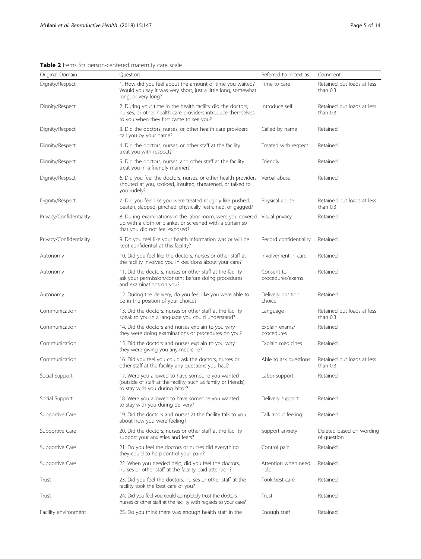## <span id="page-4-0"></span>Table 2 Items for person-centered maternity care scale

|                         | <b>Fable 2</b> Items for person centered materially care scale                                                                                                          |                                |                                          |
|-------------------------|-------------------------------------------------------------------------------------------------------------------------------------------------------------------------|--------------------------------|------------------------------------------|
| Original Domain         | Question                                                                                                                                                                | Referred to in text as         | Comment                                  |
| Dignity/Respect         | 1. How did you feel about the amount of time you waited?<br>Would you say it was very short, just a little long, somewhat<br>long, or very long?                        | Time to care                   | Retained but loads at less<br>than 0.3   |
| Dignity/Respect         | 2. During your time in the health facility did the doctors,<br>nurses, or other health care providers introduce themselves<br>to you when they first came to see you?   | Introduce self                 | Retained but loads at less<br>than $0.3$ |
| Dignity/Respect         | 3. Did the doctors, nurses, or other health care providers<br>call you by your name?                                                                                    | Called by name                 | Retained                                 |
| Dignity/Respect         | 4. Did the doctors, nurses, or other staff at the facility<br>treat you with respect?                                                                                   | Treated with respect           | Retained                                 |
| Dignity/Respect         | 5. Did the doctors, nurses, and other staff at the facility<br>treat you in a friendly manner?                                                                          | Friendly                       | Retained                                 |
| Dignity/Respect         | 6. Did you feel the doctors, nurses, or other health providers Verbal abuse<br>shouted at you, scolded, insulted, threatened, or talked to<br>you rudely?               |                                | Retained                                 |
| Dignity/Respect         | 7. Did you feel like you were treated roughly like pushed,<br>beaten, slapped, pinched, physically restrained, or gagged?                                               | Physical abuse                 | Retained but loads at less<br>than $0.3$ |
| Privacy/Confidentiality | 8. During examinations in the labor room, were you covered Visual privacy<br>up with a cloth or blanket or screened with a curtain so<br>that you did not feel exposed? |                                | Retained                                 |
| Privacy/Confidentiality | 9. Do you feel like your health information was or will be<br>kept confidential at this facility?                                                                       | Record confidentiality         | Retained                                 |
| Autonomy                | 10. Did you feel like the doctors, nurses or other staff at<br>the facility involved you in decisions about your care?                                                  | Involvement in care            | Retained                                 |
| Autonomy                | 11. Did the doctors, nurses or other staff at the facility<br>ask your permission/consent before doing procedures<br>and examinations on you?                           | Consent to<br>procedures/exams | Retained                                 |
| Autonomy                | 12. During the delivery, do you feel like you were able to<br>be in the position of your choice?                                                                        | Delivery position<br>choice    | Retained                                 |
| Communication           | 13. Did the doctors, nurses or other staff at the facility<br>speak to you in a language you could understand?                                                          | Language                       | Retained but loads at less<br>than 0.3   |
| Communication           | 14. Did the doctors and nurses explain to you why<br>they were doing examinations or procedures on you?                                                                 | Explain exams/<br>procedures   | Retained                                 |
| Communication           | 15. Did the doctors and nurses explain to you why<br>they were giving you any medicine?                                                                                 | Explain medicines              | Retained                                 |
| Communication           | 16. Did you feel you could ask the doctors, nurses or<br>other staff at the facility any questions you had?                                                             | Able to ask questions          | Retained but loads at less<br>than $0.3$ |
| Social Support          | 17. Were you allowed to have someone you wanted<br>(outside of staff at the facility, such as family or friends)<br>to stay with you during labor?                      | Labor support                  | Retained                                 |
| Social Support          | 18. Were you allowed to have someone you wanted<br>to stay with you during delivery?                                                                                    | Delivery support               | Retained                                 |
| Supportive Care         | 19. Did the doctors and nurses at the facility talk to you<br>about how you were feeling?                                                                               | Talk about feeling             | Retained                                 |
| Supportive Care         | 20. Did the doctors, nurses or other staff at the facility<br>support your anxieties and fears?                                                                         | Support anxiety                | Deleted based on wording<br>of question  |
| Supportive Care         | 21. Do you feel the doctors or nurses did everything<br>they could to help control your pain?                                                                           | Control pain                   | Retained                                 |
| Supportive Care         | 22. When you needed help, did you feel the doctors,<br>nurses or other staff at the facility paid attention?                                                            | Attention when need<br>help    | Retained                                 |
| Trust                   | 23. Did you feel the doctors, nurses or other staff at the<br>facility took the best care of you?                                                                       | Took best care                 | Retained                                 |
| Trust                   | 24. Did you feel you could completely trust the doctors,<br>nurses or other staff at the facility with regards to your care?                                            | Trust                          | Retained                                 |
| Facility environment    | 25. Do you think there was enough health staff in the                                                                                                                   | Enough staff                   | Retained                                 |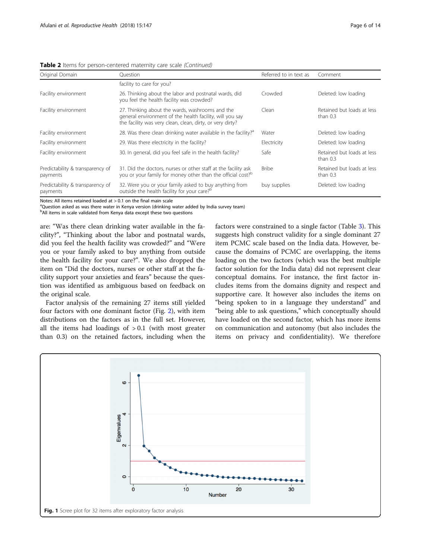| Original Domain                              | Ouestion                                                                                                                                                                 | Referred to in text as | Comment                                  |
|----------------------------------------------|--------------------------------------------------------------------------------------------------------------------------------------------------------------------------|------------------------|------------------------------------------|
|                                              | facility to care for you?                                                                                                                                                |                        |                                          |
| Facility environment                         | 26. Thinking about the labor and postnatal wards, did<br>you feel the health facility was crowded?                                                                       | Crowded                | Deleted: low loading                     |
| Facility environment                         | 27. Thinking about the wards, washrooms and the<br>general environment of the health facility, will you say<br>the facility was very clean, clean, dirty, or very dirty? | Clean                  | Retained but loads at less<br>than $0.3$ |
| Facility environment                         | 28. Was there clean drinking water available in the facility? <sup>3</sup>                                                                                               | Water                  | Deleted: low loading                     |
| Facility environment                         | 29. Was there electricity in the facility?                                                                                                                               | Electricity            | Deleted: low loading                     |
| Facility environment                         | 30. In general, did you feel safe in the health facility?                                                                                                                | Safe                   | Retained but loads at less<br>than $0.3$ |
| Predictability & transparency of<br>payments | 31. Did the doctors, nurses or other staff at the facility ask<br>you or your family for money other than the official cost? <sup>b</sup>                                | <b>Bribe</b>           | Retained but loads at less<br>than $0.3$ |
| Predictability & transparency of<br>payments | 32. Were you or your family asked to buy anything from<br>outside the health facility for your care? <sup>b</sup>                                                        | buy supplies           | Deleted: low loading                     |

<span id="page-5-0"></span>Table 2 Items for person-centered maternity care scale (Continued)

Notes: All items retained loaded at > 0.1 on the final main scale

<sup>a</sup>Question asked as was there water in Kenya version (drinking water added by India survey team)

<sup>b</sup>All items in scale validated from Kenya data except these two questions

are: "Was there clean drinking water available in the facility?", "Thinking about the labor and postnatal wards, did you feel the health facility was crowded?" and "Were you or your family asked to buy anything from outside the health facility for your care?". We also dropped the item on "Did the doctors, nurses or other staff at the facility support your anxieties and fears" because the question was identified as ambiguous based on feedback on the original scale.

Factor analysis of the remaining 27 items still yielded four factors with one dominant factor (Fig. [2](#page-6-0)), with item distributions on the factors as in the full set. However, all the items had loadings of  $> 0.1$  (with most greater than 0.3) on the retained factors, including when the factors were constrained to a single factor (Table [3](#page-7-0)). This suggests high construct validity for a single dominant 27 item PCMC scale based on the India data. However, because the domains of PCMC are overlapping, the items loading on the two factors (which was the best multiple factor solution for the India data) did not represent clear conceptual domains. For instance, the first factor includes items from the domains dignity and respect and supportive care. It however also includes the items on "being spoken to in a language they understand" and "being able to ask questions," which conceptually should have loaded on the second factor, which has more items on communication and autonomy (but also includes the items on privacy and confidentiality). We therefore

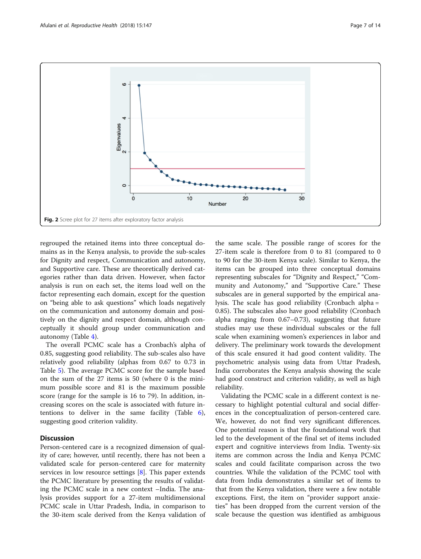<span id="page-6-0"></span>

regrouped the retained items into three conceptual domains as in the Kenya analysis, to provide the sub-scales for Dignity and respect, Communication and autonomy, and Supportive care. These are theoretically derived categories rather than data driven. However, when factor analysis is run on each set, the items load well on the factor representing each domain, except for the question on "being able to ask questions" which loads negatively on the communication and autonomy domain and positively on the dignity and respect domain, although conceptually it should group under communication and autonomy (Table [4\)](#page-7-0).

The overall PCMC scale has a Cronbach's alpha of 0.85, suggesting good reliability. The sub-scales also have relatively good reliability (alphas from 0.67 to 0.73 in Table [5\)](#page-8-0). The average PCMC score for the sample based on the sum of the 27 items is 50 (where 0 is the minimum possible score and 81 is the maximum possible score (range for the sample is 16 to 79). In addition, increasing scores on the scale is associated with future intentions to deliver in the same facility (Table [6](#page-8-0)), suggesting good criterion validity.

## **Discussion**

Person-centered care is a recognized dimension of quality of care; however, until recently, there has not been a validated scale for person-centered care for maternity services in low resource settings [[8](#page-12-0)]. This paper extends the PCMC literature by presenting the results of validating the PCMC scale in a new context –India. The analysis provides support for a 27-item multidimensional PCMC scale in Uttar Pradesh, India, in comparison to the 30-item scale derived from the Kenya validation of

the same scale. The possible range of scores for the 27-item scale is therefore from 0 to 81 (compared to 0 to 90 for the 30-item Kenya scale). Similar to Kenya, the items can be grouped into three conceptual domains representing subscales for "Dignity and Respect," "Community and Autonomy," and "Supportive Care." These subscales are in general supported by the empirical analysis. The scale has good reliability (Cronbach alpha = 0.85). The subscales also have good reliability (Cronbach alpha ranging from 0.67–0.73), suggesting that future studies may use these individual subscales or the full scale when examining women's experiences in labor and delivery. The preliminary work towards the development of this scale ensured it had good content validity. The psychometric analysis using data from Uttar Pradesh, India corroborates the Kenya analysis showing the scale had good construct and criterion validity, as well as high reliability.

Validating the PCMC scale in a different context is necessary to highlight potential cultural and social differences in the conceptualization of person-centered care. We, however, do not find very significant differences. One potential reason is that the foundational work that led to the development of the final set of items included expert and cognitive interviews from India. Twenty-six items are common across the India and Kenya PCMC scales and could facilitate comparison across the two countries. While the validation of the PCMC tool with data from India demonstrates a similar set of items to that from the Kenya validation, there were a few notable exceptions. First, the item on "provider support anxieties" has been dropped from the current version of the scale because the question was identified as ambiguous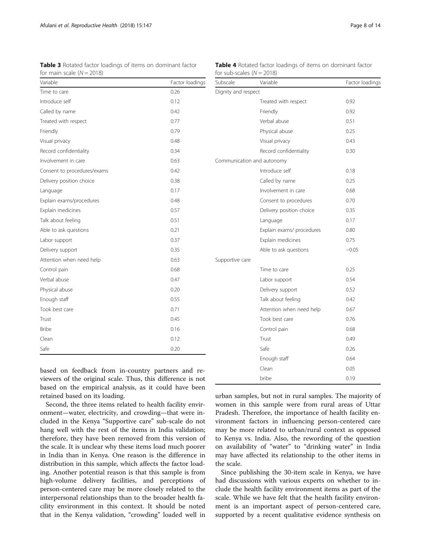<span id="page-7-0"></span>Table 3 Rotated factor loadings of items on dominant factor for main scale  $(N = 2018)$ 

|                             |  |  | Table 4 Rotated factor loadings of items on dominant factor |  |
|-----------------------------|--|--|-------------------------------------------------------------|--|
| for sub-scales $(N = 2018)$ |  |  |                                                             |  |

Dignity and respect

Subscale Variable **Variable Factor loadings** 

| Variable                    | Factor loadings |
|-----------------------------|-----------------|
| Time to care                | 0.26            |
| Introduce self              | 0.12            |
| Called by name              | 0.42            |
| Treated with respect        | 0.77            |
| Friendly                    | 0.79            |
| Visual privacy              | 0.48            |
| Record confidentiality      | 0.34            |
| Involvement in care         | 0.63            |
| Consent to procedures/exams | 0.42            |
| Delivery position choice    | 0.38            |
| Language                    | 0.17            |
| Explain exams/procedures    | 0.48            |
| Explain medicines           | 0.57            |
| Talk about feeling          | 0.51            |
| Able to ask questions       | 0.21            |
| Labor support               | 0.37            |
| Delivery support            | 0.35            |
| Attention when need help    | 0.63            |
| Control pain                | 0.68            |
| Verbal abuse                | 0.47            |
| Physical abuse              | 0.20            |
| Enough staff                | 0.55            |
| Took best care              | 0.71            |
| Trust                       | 0.45            |
| <b>Bribe</b>                | 0.16            |
| Clean                       | 0.12            |
| Safe                        | 0.20            |

|                 | Treated with respect       | 0.92    |
|-----------------|----------------------------|---------|
|                 | Friendly                   | 0.92    |
|                 | Verbal abuse               | 0.51    |
|                 | Physical abuse             | 0.25    |
|                 | Visual privacy             | 0.43    |
|                 | Record confidentiality     | 0.30    |
|                 | Communication and autonomy |         |
|                 | Introduce self             | 0.18    |
|                 | Called by name             | 0.25    |
|                 | Involvement in care        | 0.68    |
|                 | Consent to procedures      | 0.70    |
|                 | Delivery position choice   | 0.35    |
|                 | Language                   | 0.17    |
|                 | Explain exams/ procedures  | 0.80    |
|                 | Explain medicines          | 0.75    |
|                 | Able to ask questions      | $-0.05$ |
| Supportive care |                            |         |
|                 | Time to care               | 0.25    |
|                 | Labor support              | 0.54    |
|                 | Delivery support           | 0.52    |
|                 | Talk about feeling         | 0.42    |
|                 | Attention when need help   | 0.67    |
|                 | Took best care             | 0.76    |
|                 | Control pain               | 0.68    |
|                 | Trust                      | 0.49    |
|                 | Safe                       | 0.26    |
|                 | Enough staff               | 0.64    |
|                 | Clean                      | 0.05    |
|                 | bribe                      | 0.19    |

based on feedback from in-country partners and reviewers of the original scale. Thus, this difference is not based on the empirical analysis, as it could have been retained based on its loading.

Second, the three items related to health facility environment—water, electricity, and crowding—that were included in the Kenya "Supportive care" sub-scale do not hang well with the rest of the items in India validation; therefore, they have been removed from this version of the scale. It is unclear why these items load much poorer in India than in Kenya. One reason is the difference in distribution in this sample, which affects the factor loading. Another potential reason is that this sample is from high-volume delivery facilities, and perceptions of person-centered care may be more closely related to the interpersonal relationships than to the broader health facility environment in this context. It should be noted that in the Kenya validation, "crowding" loaded well in

urban samples, but not in rural samples. The majority of women in this sample were from rural areas of Uttar Pradesh. Therefore, the importance of health facility environment factors in influencing person-centered care may be more related to urban/rural context as opposed to Kenya vs. India. Also, the rewording of the question on availability of "water" to "drinking water" in India may have affected its relationship to the other items in the scale.

Since publishing the 30-item scale in Kenya, we have had discussions with various experts on whether to include the health facility environment items as part of the scale. While we have felt that the health facility environment is an important aspect of person-centered care, supported by a recent qualitative evidence synthesis on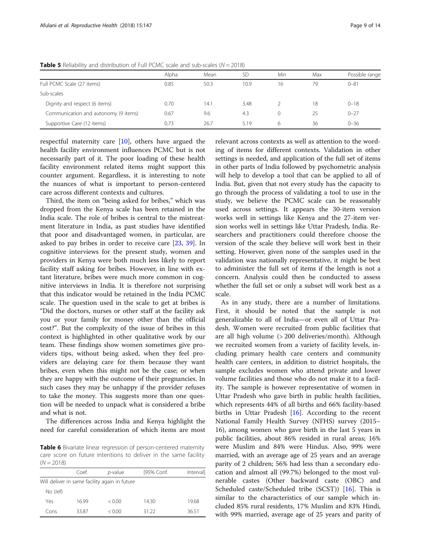|                                      | Alpha | Mean | SD   | Min      | Max | Possible range |
|--------------------------------------|-------|------|------|----------|-----|----------------|
|                                      |       |      |      |          |     |                |
| Full PCMC Scale (27 items)           | 0.85  | 50.3 | 10.9 | 16       | 79  | $0 - 81$       |
| Sub-scales                           |       |      |      |          |     |                |
| Dignity and respect (6 items)        | 0.70  | 14.1 | 3.48 |          | 18  | $0 - 18$       |
| Communication and autonomy (9 items) | 0.67  | 9.6  | 4.3  | $\Omega$ | 25  | $0 - 27$       |
| Supportive Care (12 items)           | 0.73  | 26.7 | 5.19 | 6        | 36  | $0 - 36$       |

<span id="page-8-0"></span>**Table 5** Reliability and distribution of Full PCMC scale and sub-scales ( $N = 2018$ )

respectful maternity care [[10\]](#page-12-0), others have argued the health facility environment influences PCMC but is not necessarily part of it. The poor loading of these health facility environment related items might support this counter argument. Regardless, it is interesting to note the nuances of what is important to person-centered care across different contexts and cultures.

Third, the item on "being asked for bribes," which was dropped from the Kenya scale has been retained in the India scale. The role of bribes is central to the mistreatment literature in India, as past studies have identified that poor and disadvantaged women, in particular, are asked to pay bribes in order to receive care [\[23](#page-13-0), [39\]](#page-13-0). In cognitive interviews for the present study, women and providers in Kenya were both much less likely to report facility staff asking for bribes. However, in line with extant literature, bribes were much more common in cognitive interviews in India. It is therefore not surprising that this indicator would be retained in the India PCMC scale. The question used in the scale to get at bribes is "Did the doctors, nurses or other staff at the facility ask you or your family for money other than the official cost?". But the complexity of the issue of bribes in this context is highlighted in other qualitative work by our team. These findings show women sometimes give providers tips, without being asked, when they feel providers are delaying care for them because they want bribes, even when this might not be the case; or when they are happy with the outcome of their pregnancies. In such cases they may be unhappy if the provider refuses to take the money. This suggests more than one question will be needed to unpack what is considered a bribe and what is not.

The differences across India and Kenya highlight the need for careful consideration of which items are most

Table 6 Bivariate linear regression of person-centered maternity care score on future intentions to deliver in the same facility  $(N = 2018)$ 

|          | Coef. | <i>p</i> -value                               | [95% Conf. | Intervall |
|----------|-------|-----------------------------------------------|------------|-----------|
|          |       | Will deliver in same facility again in future |            |           |
| No (ref) |       |                                               |            |           |
| Yes      | 1699  | < 0.00                                        | 14.30      | 19.68     |
| Cons     | 33.87 | < 0.00                                        | 31.22      | 36.51     |
|          |       |                                               |            |           |

relevant across contexts as well as attention to the wording of items for different contexts. Validation in other settings is needed, and application of the full set of items in other parts of India followed by psychometric analysis will help to develop a tool that can be applied to all of India. But, given that not every study has the capacity to go through the process of validating a tool to use in the study, we believe the PCMC scale can be reasonably used across settings. It appears the 30-item version works well in settings like Kenya and the 27-item version works well in settings like Uttar Pradesh, India. Researchers and practitioners could therefore choose the version of the scale they believe will work best in their setting. However, given none of the samples used in the validation was nationally representative, it might be best to administer the full set of items if the length is not a concern. Analysis could then be conducted to assess whether the full set or only a subset will work best as a scale.

As in any study, there are a number of limitations. First, it should be noted that the sample is not generalizable to all of India—or even all of Uttar Pradesh. Women were recruited from public facilities that are all high volume (> 200 deliveries/month). Although we recruited women from a variety of facility levels, including primary health care centers and community health care centers, in addition to district hospitals, the sample excludes women who attend private and lower volume facilities and those who do not make it to a facility. The sample is however representative of women in Uttar Pradesh who gave birth in public health facilities, which represents 44% of all births and 66% facility-based births in Uttar Pradesh [[16\]](#page-12-0). According to the recent National Family Health Survey (NFHS) survey (2015– 16), among women who gave birth in the last 5 years in public facilities, about 86% resided in rural areas; 16% were Muslim and 84% were Hindus. Also, 99% were married, with an average age of 25 years and an average parity of 2 children; 56% had less than a secondary education and almost all (99.7%) belonged to the most vulnerable castes (Other backward caste (OBC) and Scheduled caste/Scheduled tribe (SCST)) [\[16](#page-12-0)]. This is similar to the characteristics of our sample which included 85% rural residents, 17% Muslim and 83% Hindi, with 99% married, average age of 25 years and parity of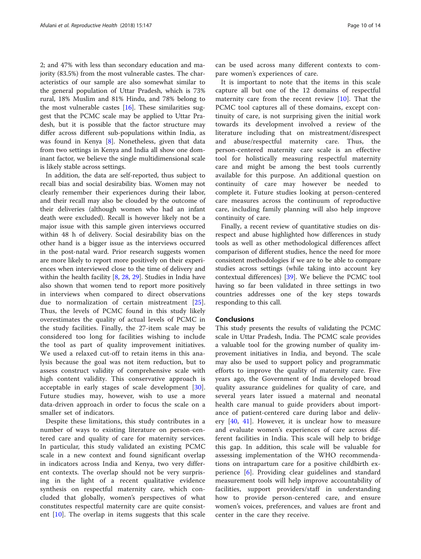2; and 47% with less than secondary education and majority (83.5%) from the most vulnerable castes. The characteristics of our sample are also somewhat similar to the general population of Uttar Pradesh, which is 73% rural, 18% Muslim and 81% Hindu, and 78% belong to the most vulnerable castes [[16](#page-12-0)]. These similarities suggest that the PCMC scale may be applied to Uttar Pradesh, but it is possible that the factor structure may differ across different sub-populations within India, as was found in Kenya [[8\]](#page-12-0). Nonetheless, given that data from two settings in Kenya and India all show one dominant factor, we believe the single multidimensional scale is likely stable across settings.

In addition, the data are self-reported, thus subject to recall bias and social desirability bias. Women may not clearly remember their experiences during their labor, and their recall may also be clouded by the outcome of their deliveries (although women who had an infant death were excluded). Recall is however likely not be a major issue with this sample given interviews occurred within 48 h of delivery. Social desirability bias on the other hand is a bigger issue as the interviews occurred in the post-natal ward. Prior research suggests women are more likely to report more positively on their experiences when interviewed close to the time of delivery and within the health facility [\[8](#page-12-0), [28](#page-13-0), [29\]](#page-13-0). Studies in India have also shown that women tend to report more positively in interviews when compared to direct observations due to normalization of certain mistreatment [\[25](#page-13-0)]. Thus, the levels of PCMC found in this study likely overestimates the quality of actual levels of PCMC in the study facilities. Finally, the 27-item scale may be considered too long for facilities wishing to include the tool as part of quality improvement initiatives. We used a relaxed cut-off to retain items in this analysis because the goal was not item reduction, but to assess construct validity of comprehensive scale with high content validity. This conservative approach is acceptable in early stages of scale development [\[30](#page-13-0)]. Future studies may, however, wish to use a more data-driven approach in order to focus the scale on a smaller set of indicators.

Despite these limitations, this study contributes in a number of ways to existing literature on person-centered care and quality of care for maternity services. In particular, this study validated an existing PCMC scale in a new context and found significant overlap in indicators across India and Kenya, two very different contexts. The overlap should not be very surprising in the light of a recent qualitative evidence synthesis on respectful maternity care, which concluded that globally, women's perspectives of what constitutes respectful maternity care are quite consistent  $[10]$  $[10]$ . The overlap in items suggests that this scale can be used across many different contexts to compare women's experiences of care.

It is important to note that the items in this scale capture all but one of the 12 domains of respectful maternity care from the recent review [[10\]](#page-12-0). That the PCMC tool captures all of these domains, except continuity of care, is not surprising given the initial work towards its development involved a review of the literature including that on mistreatment/disrespect and abuse/respectful maternity care. Thus, the person-centered maternity care scale is an effective tool for holistically measuring respectful maternity care and might be among the best tools currently available for this purpose. An additional question on continuity of care may however be needed to complete it. Future studies looking at person-centered care measures across the continuum of reproductive care, including family planning will also help improve continuity of care.

Finally, a recent review of quantitative studies on disrespect and abuse highlighted how differences in study tools as well as other methodological differences affect comparison of different studies, hence the need for more consistent methodologies if we are to be able to compare studies across settings (while taking into account key contextual differences) [\[39](#page-13-0)]. We believe the PCMC tool having so far been validated in three settings in two countries addresses one of the key steps towards responding to this call.

## **Conclusions**

This study presents the results of validating the PCMC scale in Uttar Pradesh, India. The PCMC scale provides a valuable tool for the growing number of quality improvement initiatives in India, and beyond. The scale may also be used to support policy and programmatic efforts to improve the quality of maternity care. Five years ago, the Government of India developed broad quality assurance guidelines for quality of care, and several years later issued a maternal and neonatal health care manual to guide providers about importance of patient-centered care during labor and delivery [[40,](#page-13-0) [41](#page-13-0)]. However, it is unclear how to measure and evaluate women's experiences of care across different facilities in India. This scale will help to bridge this gap. In addition, this scale will be valuable for assessing implementation of the WHO recommendations on intrapartum care for a positive childbirth experience [\[6](#page-12-0)]. Providing clear guidelines and standard measurement tools will help improve accountability of facilities, support providers/staff in understanding how to provide person-centered care, and ensure women's voices, preferences, and values are front and center in the care they receive.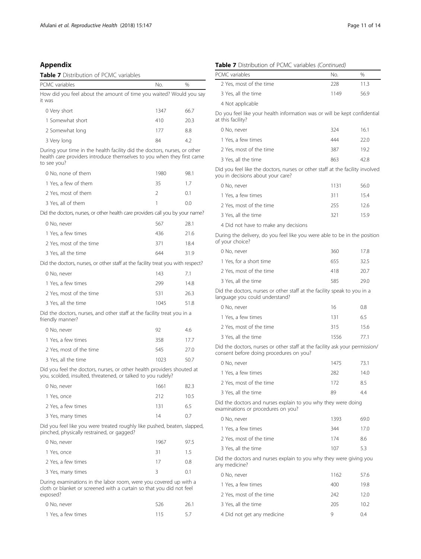## Appendix

#### Table 7 Distribution of PCMC variables

| How did you feel about the amount of time you waited? Would you say | PCMC variables | No. | % |
|---------------------------------------------------------------------|----------------|-----|---|
| it was                                                              |                |     |   |
| 0 Very short<br>1347<br>66.7                                        |                |     |   |
| 1 Somewhat short<br>410<br>20.3                                     |                |     |   |
| 2 Somewhat long<br>8.8<br>177                                       |                |     |   |
| 3 Very long<br>4.2<br>84                                            |                |     |   |

During your time in the health facility did the doctors, nurses, or other health care providers introduce themselves to you when they first came to see you?

| 0 No, none of them   | 1980 | 98.1 |
|----------------------|------|------|
| 1 Yes, a few of them | 35   | 1/   |
| 2 Yes, most of them  | 2    | 01   |
| 3 Yes, all of them   |      | 00   |
|                      |      |      |

Did the doctors, nurses, or other health care providers call you by your name?

| 0 No, never             | 567 | 28.1 |
|-------------------------|-----|------|
| 1 Yes, a few times      | 436 | 21.6 |
| 2 Yes, most of the time | 371 | 184  |
| 3 Yes, all the time     | 644 | 319  |
|                         |     |      |

Did the doctors, nurses, or other staff at the facility treat you with respect?

| 0 No, never             | 143  | <i>/</i> 1 |
|-------------------------|------|------------|
| 1 Yes, a few times      | 299  | 148        |
| 2 Yes, most of the time | 531  | 26.3       |
| 3 Yes, all the time     | 1045 | 518        |

Did the doctors, nurses, and other staff at the facility treat you in a friendly manner?

| 0 No, never             | 92   | 46   |
|-------------------------|------|------|
| 1 Yes, a few times      | 358  | 177  |
| 2 Yes, most of the time | 545  | 27.0 |
| 3 Yes, all the time     | 1023 | 50.7 |

Did you feel the doctors, nurses, or other health providers shouted at you, scolded, insulted, threatened, or talked to you rudely?

| 0 No, never        | 1661 | 82.3 |
|--------------------|------|------|
| 1 Yes, once        | 212  | 10.5 |
| 2 Yes, a few times | 131  | 6.5  |
| 3 Yes, many times  | 14   | (1)  |

Did you feel like you were treated roughly like pushed, beaten, slapped, pinched, physically restrained, or gagged?

| 0 No, never        | 1967 | 975 |
|--------------------|------|-----|
| 1 Yes, once        | 31   | 15  |
| 2 Yes, a few times | 17   | 0.8 |
| 3 Yes, many times  | ર    | O 1 |

During examinations in the labor room, were you covered up with a cloth or blanket or screened with a curtain so that you did not feel exposed?

| 0 No, never        | 526 | 26.1 |
|--------------------|-----|------|
| 1 Yes, a few times | 115 | 5.7  |

| Table 7 Distribution of PCMC variables (Continued)                                                                     |      |               |  |
|------------------------------------------------------------------------------------------------------------------------|------|---------------|--|
| PCMC variables                                                                                                         | No.  | $\frac{0}{0}$ |  |
| 2 Yes, most of the time                                                                                                | 228  | 11.3          |  |
| 3 Yes, all the time                                                                                                    | 1149 | 56.9          |  |
| 4 Not applicable                                                                                                       |      |               |  |
| Do you feel like your health information was or will be kept confidential<br>at this facility?                         |      |               |  |
| 0 No, never                                                                                                            | 324  | 16.1          |  |
| 1 Yes, a few times                                                                                                     | 444  | 22.0          |  |
| 2 Yes, most of the time                                                                                                | 387  | 19.2          |  |
| 3 Yes, all the time                                                                                                    | 863  | 428           |  |
| Did you feel like the doctors, nurses or other staff at the facility involved<br>you in decisions about your care?     |      |               |  |
| 0 No, never                                                                                                            | 1131 | 56.0          |  |
| 1 Yes, a few times                                                                                                     | 311  | 15.4          |  |
| 2 Yes, most of the time                                                                                                | 255  | 12.6          |  |
| 3 Yes, all the time                                                                                                    | 321  | 15.9          |  |
| 4 Did not have to make any decisions                                                                                   |      |               |  |
| During the delivery, do you feel like you were able to be in the position<br>of your choice?                           |      |               |  |
| 0 No, never                                                                                                            | 360  | 17.8          |  |
| 1 Yes, for a short time                                                                                                | 655  | 32.5          |  |
| 2 Yes, most of the time                                                                                                | 418  | 20.7          |  |
| 3 Yes, all the time                                                                                                    | 585  | 29.0          |  |
| Did the doctors, nurses or other staff at the facility speak to you in a<br>language you could understand?             |      |               |  |
| 0 No, never                                                                                                            | 16   | 0.8           |  |
| 1 Yes, a few times                                                                                                     | 131  | 6.5           |  |
| 2 Yes, most of the time                                                                                                | 315  | 15.6          |  |
| 3 Yes, all the time                                                                                                    | 1556 | 77.1          |  |
| Did the doctors, nurses or other staff at the facility ask your permission/<br>consent before doing procedures on you? |      |               |  |
| 0 No, never                                                                                                            | 1475 | 73.1          |  |
| 1 Yes, a few times                                                                                                     | 282  | 14.0          |  |
| 2 Yes, most of the time                                                                                                | 172  | 8.5           |  |
| 3 Yes, all the time                                                                                                    | 89   | 4.4           |  |
| Did the doctors and nurses explain to you why they were doing<br>examinations or procedures on you?                    |      |               |  |
| 0 No, never                                                                                                            | 1393 | 69.0          |  |
| 1 Yes, a few times                                                                                                     | 344  | 17.0          |  |
| 2 Yes, most of the time                                                                                                | 174  | 8.6           |  |
| 3 Yes, all the time                                                                                                    | 107  | 5.3           |  |
| Did the doctors and nurses explain to you why they were giving you<br>any medicine?                                    |      |               |  |
| 0 No, never                                                                                                            | 1162 | 57.6          |  |
| 1 Yes, a few times                                                                                                     | 400  | 19.8          |  |
| 2 Yes, most of the time                                                                                                | 242  | 12.0          |  |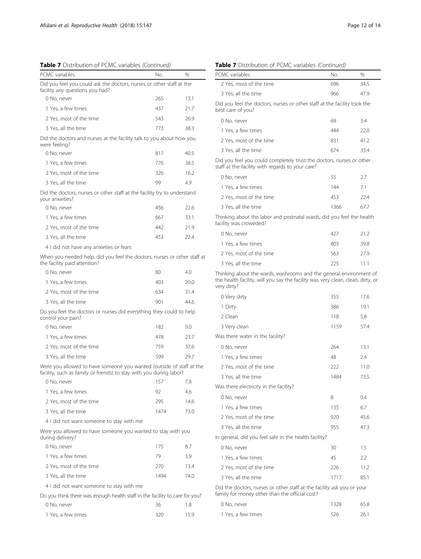## Table 7 Distribution of PCMC variables (Continued)

| PCMC variables                                                                                                                              | No.  | %    |  |
|---------------------------------------------------------------------------------------------------------------------------------------------|------|------|--|
| Did you feel you could ask the doctors, nurses or other staff at the<br>facility any questions you had?                                     |      |      |  |
| 0 No, never                                                                                                                                 | 265  | 13.1 |  |
| 1 Yes, a few times                                                                                                                          | 437  | 21.7 |  |
| 2 Yes, most of the time                                                                                                                     | 543  | 26.9 |  |
| 3 Yes, all the time                                                                                                                         | 773  | 38.3 |  |
| Did the doctors and nurses at the facility talk to you about how you<br>were feeling?                                                       |      |      |  |
| 0 No, never                                                                                                                                 | 817  | 40.5 |  |
| 1 Yes, a few times                                                                                                                          | 776  | 38.5 |  |
| 2 Yes, most of the time                                                                                                                     | 326  | 16.2 |  |
| 3 Yes, all the time                                                                                                                         | 99   | 4.9  |  |
| Did the doctors, nurses or other staff at the facility try to understand<br>your anxieties?                                                 |      |      |  |
| 0 No, never                                                                                                                                 | 456  | 22.6 |  |
| 1 Yes, a few times                                                                                                                          | 667  | 33.1 |  |
| 2 Yes, most of the time                                                                                                                     | 442  | 21.9 |  |
| 3 Yes, all the time                                                                                                                         | 453  | 22.4 |  |
| 4 I did not have any anxieties or fears                                                                                                     |      |      |  |
| When you needed help, did you feel the doctors, nurses or other staff at<br>the facility paid attention?                                    |      |      |  |
| 0 No, never                                                                                                                                 | 80   | 4.0  |  |
| 1 Yes, a few times                                                                                                                          | 403  | 20.0 |  |
| 2 Yes, most of the time                                                                                                                     | 634  | 31.4 |  |
| 3 Yes, all the time                                                                                                                         | 901  | 44.6 |  |
| Do you feel the doctors or nurses did everything they could to help<br>control your pain?                                                   |      |      |  |
| 0 No, never                                                                                                                                 | 182  | 9.0  |  |
| 1 Yes, a few times                                                                                                                          | 478  | 23.7 |  |
| 2 Yes, most of the time                                                                                                                     | 759  | 37.6 |  |
| 3 Yes, all the time                                                                                                                         | 599  | 29.7 |  |
| Were you allowed to have someone you wanted (outside of staff at the<br>facility, such as family or friends) to stay with you during labor? |      |      |  |
| 0 No, never                                                                                                                                 | 157  | 7.8  |  |
| 1 Yes, a few times                                                                                                                          | 92   | 4.6  |  |
| 2 Yes, most of the time                                                                                                                     | 295  | 14.6 |  |
| 3 Yes, all the time                                                                                                                         | 1474 | 73.0 |  |
| 4 I did not want someone to stay with me                                                                                                    |      |      |  |
| Were you allowed to have someone you wanted to stay with you<br>during delivery?                                                            |      |      |  |
| 0 No, never                                                                                                                                 | 175  | 8.7  |  |
| 1 Yes, a few times                                                                                                                          | 79   | 3.9  |  |
| 2 Yes, most of the time                                                                                                                     | 270  | 13.4 |  |
| 3 Yes, all the time                                                                                                                         | 1494 | 74.0 |  |
| 4 I did not want someone to stay with me                                                                                                    |      |      |  |
| Do you think there was enough health staff in the facility to care for you?<br>0 No, never                                                  | 36   | 1.8  |  |
| 1 Yes, a few times                                                                                                                          | 320  | 15.9 |  |
|                                                                                                                                             |      |      |  |

| PCMC variables                                                                                                                                                       | No.  | %    |
|----------------------------------------------------------------------------------------------------------------------------------------------------------------------|------|------|
| 2 Yes, most of the time                                                                                                                                              | 696  | 34.5 |
| 3 Yes, all the time                                                                                                                                                  | 966  | 47.9 |
| Did you feel the doctors, nurses or other staff at the facility took the<br>best care of you?                                                                        |      |      |
| 0 No, never                                                                                                                                                          | 69   | 3.4  |
| 1 Yes, a few times                                                                                                                                                   | 444  | 22.0 |
| 2 Yes, most of the time                                                                                                                                              | 831  | 41.2 |
| 3 Yes, all the time                                                                                                                                                  | 674  | 33.4 |
| Did you feel you could completely trust the doctors, nurses or other<br>staff at the facility with regards to your care?                                             |      |      |
| 0 No, never                                                                                                                                                          | 55   | 2.7  |
| 1 Yes, a few times                                                                                                                                                   | 144  | 7.1  |
| 2 Yes, most of the time                                                                                                                                              | 453  | 22.4 |
| 3 Yes, all the time                                                                                                                                                  | 1366 | 67.7 |
| Thinking about the labor and postnatal wards, did you feel the health<br>facility was croweded?                                                                      |      |      |
| 0 No, never                                                                                                                                                          | 427  | 21.2 |
| 1 Yes, a few times                                                                                                                                                   | 803  | 39.8 |
| 2 Yes, most of the time                                                                                                                                              | 563  | 27.9 |
| 3 Yes, all the time                                                                                                                                                  | 225  | 11.1 |
| Thinking about the wards, washrooms and the general environment of<br>the health facility, will you say the facility was very clean, clean, dirty, or<br>very dirty? |      |      |
| 0 Very dirty                                                                                                                                                         | 355  | 17.6 |
| 1 Dirty                                                                                                                                                              | 386  | 19.1 |
| 2 Clean                                                                                                                                                              | 118  | 5.8  |
| 3 Very clean                                                                                                                                                         | 1159 | 57.4 |
| Was there water in the facility?                                                                                                                                     |      |      |
| 0 No, never                                                                                                                                                          | 264  | 13.1 |
| 1 Yes, a few times                                                                                                                                                   | 48   | 2.4  |
| 2 Yes, most of the time                                                                                                                                              | 222  | 11.0 |
| 3 Yes, all the time                                                                                                                                                  | 1484 | 73.5 |
| Was there electricity in the facility?                                                                                                                               |      |      |
| 0 No, never                                                                                                                                                          | 8    | 0.4  |
| 1 Yes, a few times                                                                                                                                                   | 135  | 6.7  |
| 2 Yes, most of the time                                                                                                                                              | 920  | 45.6 |
| 3 Yes, all the time                                                                                                                                                  | 955  | 47.3 |
| In general, did you feel safe in the health facility?                                                                                                                |      |      |
| 0 No, never                                                                                                                                                          | 30   | 1.5  |
| 1 Yes, a few times                                                                                                                                                   | 45   | 2.2  |
| 2 Yes, most of the time                                                                                                                                              | 226  | 11.2 |
| 3 Yes, all the time                                                                                                                                                  | 1717 | 85.1 |
| Did the doctors, nurses or other staff at the facility ask you or your<br>family for money other than the official cost?                                             |      |      |
| 0 No, never                                                                                                                                                          | 1328 | 65.8 |
| 1 Yes, a few times                                                                                                                                                   | 526  | 26.1 |

Table 7 Distribution of PCMC variables (Continued)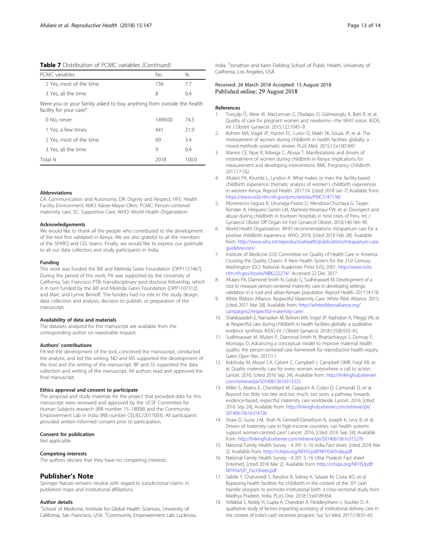<span id="page-12-0"></span>Table 7 Distribution of PCMC variables (Continued)

| PCMC variables                                                        | No. | %  |
|-----------------------------------------------------------------------|-----|----|
| 2 Yes, most of the time                                               | 156 | 77 |
| 3 Yes, all the time                                                   | Я   | 04 |
| Were you or your family asked to buy anything from outside the health |     |    |

facility for your care? 0 No, never 1499.00 74.3 1 Yes, a few times 441 21.9 2 Yes, most of the time 69 3.4 3 Yes, all the time 9 0.4 Total N 2018 100.0

#### Abbreviations

CA: Communication and Autonomy; DR: Dignity and Respect; HFE: Health Facility Environment; KMO: Kaiser-Meyer-Olkin; PCMC: Person-centered maternity care; SC: Supportive Care; WHO: World Health Organization

#### Acknowledgements

We would like to thank all the people who contributed to the development of the tool first validated in Kenya. We are also grateful to all the members of the SPARQ and CEL teams. Finally, we would like to express our gratitude to all our data collectors and study participants in India.

#### Funding

This work was funded the Bill and Melinda Gates Foundation [OPP1127467]. During the period of this work, PA was supported by the University of California, San Francisco PTBi transdisciplinary post-doctoral fellowship, which is in turn funded by the Bill and Melinda Gates Foundation [OPP1107312]; and Marc and Lynne Benioff. The funders had no role in the study design, data collection and analysis, decision to publish, or preparation of the manuscript.

#### Availability of data and materials

The datasets analyzed for this manuscript are available from the corresponding author on reasonable request.

#### Authors' contributions

PA led the development of the tool, conceived the manuscript, conducted the analysis, and led the writing. ND and MS supported the development of the tool and the writing of the manuscript. BP and SS supported the data collection and writing of the manuscript. All authors read and approved the final manuscript.

#### Ethics approval and consent to participate

The proposal and study materials for the project that provided data for this manuscript were reviewed and approved by the UCSF Committee for Human Subjects research (IRB number 15–18008) and the Community Empowerment Lab in India (IRB number CELIEC/2017003). All participants provided written informed consent prior to participation.

#### Consent for publication

Not applicable

#### Competing interests

The authors declare that they have no competing interests.

#### Publisher's Note

Springer Nature remains neutral with regard to jurisdictional claims in published maps and institutional affiliations.

#### Author details

<sup>1</sup>School of Medicine, Institute for Global Health Sciences, University of California, San Francisco, USA. <sup>2</sup> Community Empowerment Lab, Lucknow,

India. <sup>3</sup> Jonathan and Karin Fielding School of Public Health, University of California, Los Angeles, USA.

#### Received: 26 March 2018 Accepted: 15 August 2018 Published online: 29 August 2018

#### References

- 1. Tunçalp Ö, Were W, MacLennan C, Oladapo O, Gülmezoglu A, Bahl R, et al. Quality of care for pregnant women and newborns—the WHO vision. BJOG Int J Obstet Gynaecol. 2015;122:1045–9.
- 2. Bohren MA, Vogel JP, Hunter EC, Lutsiv O, Makh SK, Souza JP, et al. The mistreatment of women during childbirth in health facilities globally: a mixed-methods systematic review. PLoS Med. 2015;12:e1001847.
- Warren CE, Njue R, Ndwiga C, Abuya T. Manifestations and drivers of mistreatment of women during childbirth in Kenya: implications for measurement and developing interventions. BMC Pregnancy Childbirth. 2017;17:102.
- 4. Afulani PA, Kirumbi L, Lyndon A. What makes or mars the facility-based childbirth experience: thematic analysis of women's childbirth experiences in western Kenya. Reprod Health. 2017:14. [cited 2018 Jan 7] Available from: <https://www.ncbi.nlm.nih.gov/pmc/articles/PMC5747138/>
- 5. Montesinos-Segura R, Urrunaga-Pastor D, Mendoza-Chuctaya G, Taype-Rondan A, Helguero-Santin LM, Martinez-Ninanqui FW, et al. Disrespect and abuse during childbirth in fourteen hospitals in nine cities of Peru. Int J Gynaecol Obstet Off Organ Int Fed Gynaecol Obstet. 2018;140:184–90.
- 6. World Health Organization. WHO recommendations: intrapartum care for a positive childbirth experience. WHO. 2018; [cited 2018 Feb 28]. Available from: [http://www.who.int/reproductivehealth/publications/intrapartum-care](http://www.who.int/reproductivehealth/publications/intrapartum-care-guidelines/en/)[guidelines/en/](http://www.who.int/reproductivehealth/publications/intrapartum-care-guidelines/en/)
- 7. Institute of Medicine (US) Committee on Quality of Health Care in America. Crossing the Quality Chasm: A New Health System for the 21st Century. Washington (DC): National Academies Press (US); 2001. [http://www.ncbi.](http://www.ncbi.nlm.nih.gov/books/NBK222274/) [nlm.nih.gov/books/NBK222274/](http://www.ncbi.nlm.nih.gov/books/NBK222274/). Accessed 22 Dec 2017.
- Afulani PA, Diamond-Smith N, Golub G, Sudhinaraset M. Development of a tool to measure person-centered maternity care in developing settings: validation in a rural and urban Kenyan population. Reprod Health. 2017;14:118.
- 9. White Ribbon Alliance. Respectful Maternity Care. White Ribb Alliance. 2015; [cited 2017 Mar 28]. Available from: [http://whiteribbonalliance.org/](http://whiteribbonalliance.org/campaigns2/respectful-maternity-care/) [campaigns2/respectful-maternity-care/](http://whiteribbonalliance.org/campaigns2/respectful-maternity-care/)
- 10. Shakibazadeh E, Namadian M, Bohren MA, Vogel JP, Rashidian A, Pileggi VN, et al. Respectful care during childbirth in health facilities globally: a qualitative evidence synthesis. BJOG Int J Obstet Gynaecol. 2018;125(8):932–42.
- 11. Sudhinaraset M, Afulani P, Diamond-Smith N, Bhattacharyya S, Donnay F, Montagu D. Advancing a conceptual model to improve maternal health quality: the person-centered care framework for reproductive health equity. Gates Open Res. 2017;1:1.
- 12. Koblinsky M, Moyer CA, Calvert C, Campbell J, Campbell OMR, Feigl AB, et al. Quality maternity care for every woman, everywhere: a call to action. Lancet. 2016; [cited 2016 Sep 24]; Available from: [http://linkinghub.elsevier.](http://linkinghub.elsevier.com/retrieve/pii/S0140673616313332) [com/retrieve/pii/S0140673616313332](http://linkinghub.elsevier.com/retrieve/pii/S0140673616313332)
- 13. Miller S, Abalos E, Chamillard M, Ciapponi A, Colaci D, Comandé D, et al. Beyond too little, too late and too much, too soon: a pathway towards evidence-based, respectful maternity care worldwide. Lancet. 2016; [cited 2016 Sep 24]; Available from: [http://linkinghub.elsevier.com/retrieve/pii/](http://linkinghub.elsevier.com/retrieve/pii/S0140673616314726) [S0140673616314726](http://linkinghub.elsevier.com/retrieve/pii/S0140673616314726)
- 14. Shaw D, Guise J-M, Shah N, Gemzell-Danielsson K, Joseph K, Levy B, et al. Drivers of maternity care in high-income countries: can health systems support woman-centred care? Lancet. 2016; [cited 2016 Sep 24]; Available from: <http://linkinghub.elsevier.com/retrieve/pii/S0140673616315276>
- 15. National Family Health Survey 4 201 5–16 India Fact sheet. [cited 2018 Mar 2]. Available from: <http://rchiips.org/NFHS/pdf/NFHS4/India.pdf>
- 16. National Family Health Survey 4 201 5–16 Uttar Pradesh Fact sheet [Internet]. [cited 2018 Mar 2]. Available from: [http://rchiips.org/NFHS/pdf/](http://rchiips.org/NFHS/pdf/NFHS4/UP_FactSheet.pdf) [NFHS4/UP\\_FactSheet.pdf](http://rchiips.org/NFHS/pdf/NFHS4/UP_FactSheet.pdf)
- 17. Sabde Y, Chaturvedi S, Randive B, Sidney K, Salazar M, Costa AD, et al. Bypassing health facilities for childbirth in the context of the JSY cash transfer program to promote institutional birth: a cross-sectional study from Madhya Pradesh, India. PLoS One. 2018;13:e0189364.
- 18. Vellakkal S, Reddy H, Gupta A, Chandran A, Fledderjohann J, Stuckler D. A qualitative study of factors impacting accessing of institutional delivery care in the context of India's cash incentive program. Soc Sci Med. 2017;178:55–65.